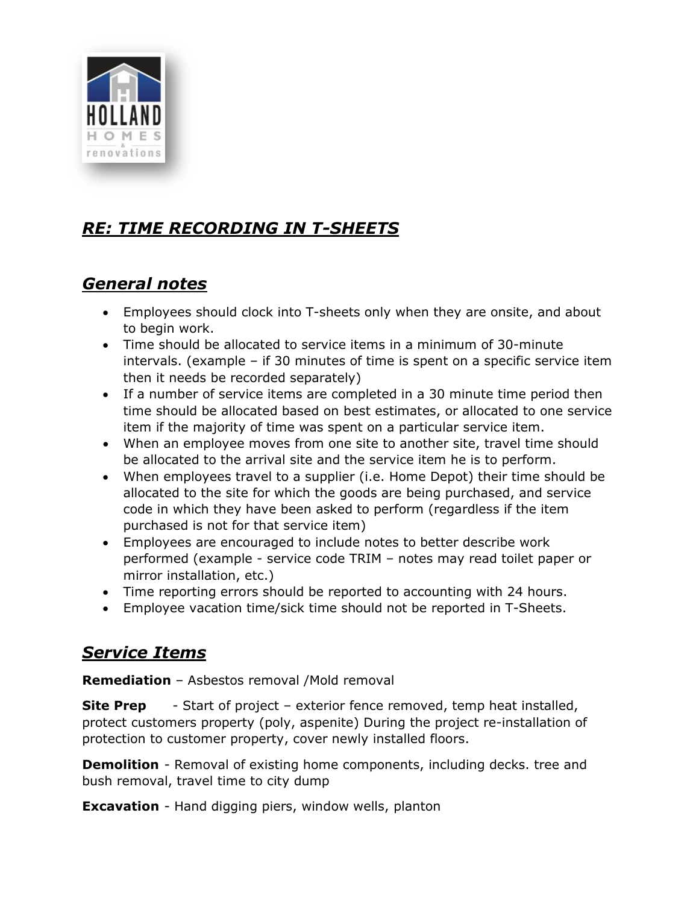

# *RE: TIME RECORDING IN T-SHEETS*

## *General notes*

- Employees should clock into T-sheets only when they are onsite, and about to begin work.
- Time should be allocated to service items in a minimum of 30-minute intervals. (example – if 30 minutes of time is spent on a specific service item then it needs be recorded separately)
- If a number of service items are completed in a 30 minute time period then time should be allocated based on best estimates, or allocated to one service item if the majority of time was spent on a particular service item.
- When an employee moves from one site to another site, travel time should be allocated to the arrival site and the service item he is to perform.
- When employees travel to a supplier (i.e. Home Depot) their time should be allocated to the site for which the goods are being purchased, and service code in which they have been asked to perform (regardless if the item purchased is not for that service item)
- Employees are encouraged to include notes to better describe work performed (example - service code TRIM – notes may read toilet paper or mirror installation, etc.)
- Time reporting errors should be reported to accounting with 24 hours.
- Employee vacation time/sick time should not be reported in T-Sheets.

## *Service Items*

**Remediation** – Asbestos removal /Mold removal

**Site Prep** - Start of project – exterior fence removed, temp heat installed, protect customers property (poly, aspenite) During the project re-installation of protection to customer property, cover newly installed floors.

**Demolition** - Removal of existing home components, including decks. tree and bush removal, travel time to city dump

**Excavation** - Hand digging piers, window wells, planton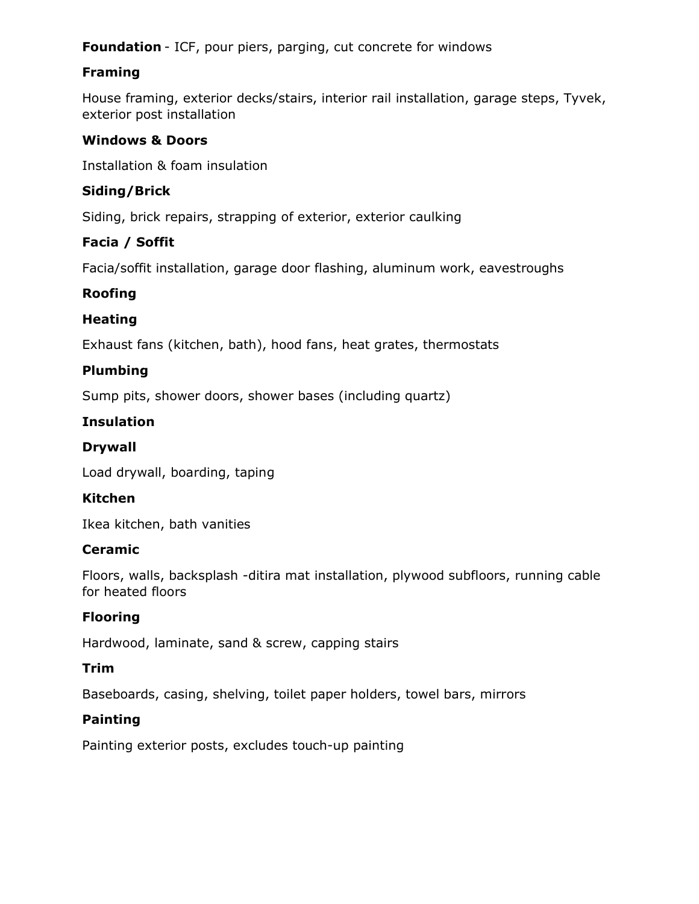**Foundation** - ICF, pour piers, parging, cut concrete for windows

## **Framing**

House framing, exterior decks/stairs, interior rail installation, garage steps, Tyvek, exterior post installation

#### **Windows & Doors**

Installation & foam insulation

## **Siding/Brick**

Siding, brick repairs, strapping of exterior, exterior caulking

## **Facia / Soffit**

Facia/soffit installation, garage door flashing, aluminum work, eavestroughs

#### **Roofing**

#### **Heating**

Exhaust fans (kitchen, bath), hood fans, heat grates, thermostats

## **Plumbing**

Sump pits, shower doors, shower bases (including quartz)

## **Insulation**

#### **Drywall**

Load drywall, boarding, taping

#### **Kitchen**

Ikea kitchen, bath vanities

#### **Ceramic**

Floors, walls, backsplash -ditira mat installation, plywood subfloors, running cable for heated floors

## **Flooring**

Hardwood, laminate, sand & screw, capping stairs

#### **Trim**

Baseboards, casing, shelving, toilet paper holders, towel bars, mirrors

#### **Painting**

Painting exterior posts, excludes touch-up painting